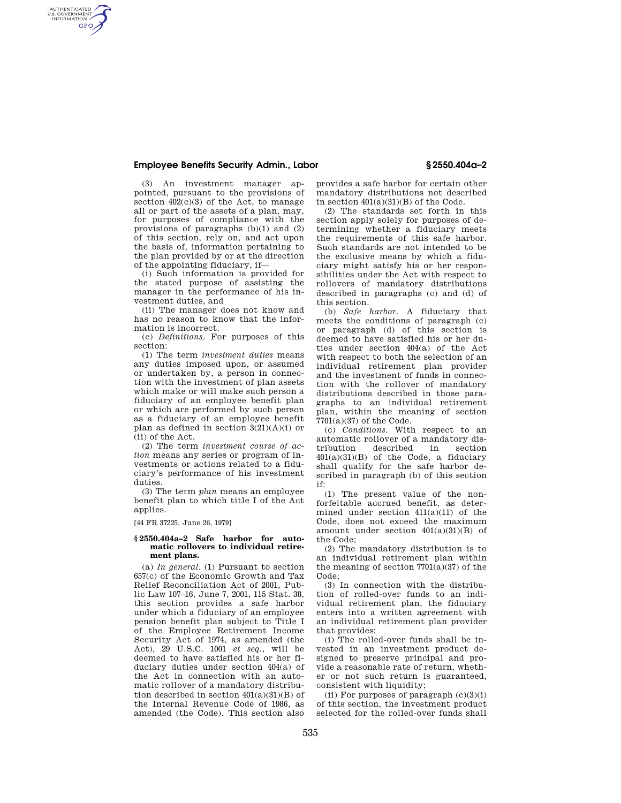## **Employee Benefits Security Admin., Labor § 2550.404a–2**

AUTHENTICATED<br>U.S. GOVERNMENT<br>INFORMATION **GPO** 

(3) An investment manager appointed, pursuant to the provisions of section  $402(c)(3)$  of the Act, to manage all or part of the assets of a plan, may, for purposes of compliance with the provisions of paragraphs (b)(1) and (2) of this section, rely on, and act upon the basis of, information pertaining to the plan provided by or at the direction of the appointing fiduciary, if—

(i) Such information is provided for the stated purpose of assisting the manager in the performance of his investment duties, and

(ii) The manager does not know and has no reason to know that the information is incorrect.

(c) *Definitions.* For purposes of this section:

(1) The term *investment duties* means any duties imposed upon, or assumed or undertaken by, a person in connection with the investment of plan assets which make or will make such person a fiduciary of an employee benefit plan or which are performed by such person as a fiduciary of an employee benefit plan as defined in section  $3(21)(A)(i)$  or (ii) of the Act.

(2) The term *investment course of action* means any series or program of investments or actions related to a fiduciary's performance of his investment duties.

(3) The term *plan* means an employee benefit plan to which title I of the Act applies.

[44 FR 37225, June 26, 1979]

## **§ 2550.404a–2 Safe harbor for automatic rollovers to individual retirement plans.**

(a) *In general*. (1) Pursuant to section 657(c) of the Economic Growth and Tax Relief Reconciliation Act of 2001, Public Law 107–16, June 7, 2001, 115 Stat. 38, this section provides a safe harbor under which a fiduciary of an employee pension benefit plan subject to Title I of the Employee Retirement Income Security Act of 1974, as amended (the Act), 29 U.S.C. 1001 *et seq.*, will be deemed to have satisfied his or her fiduciary duties under section 404(a) of the Act in connection with an automatic rollover of a mandatory distribution described in section 401(a)(31)(B) of the Internal Revenue Code of 1986, as amended (the Code). This section also

provides a safe harbor for certain other mandatory distributions not described in section  $401(a)(31)(B)$  of the Code.

(2) The standards set forth in this section apply solely for purposes of determining whether a fiduciary meets the requirements of this safe harbor. Such standards are not intended to be the exclusive means by which a fiduciary might satisfy his or her responsibilities under the Act with respect to rollovers of mandatory distributions described in paragraphs (c) and (d) of this section.

(b) *Safe harbor*. A fiduciary that meets the conditions of paragraph (c) or paragraph (d) of this section is deemed to have satisfied his or her duties under section 404(a) of the Act with respect to both the selection of an individual retirement plan provider and the investment of funds in connection with the rollover of mandatory distributions described in those paragraphs to an individual retirement plan, within the meaning of section 7701(a)(37) of the Code.

(c) *Conditions*. With respect to an automatic rollover of a mandatory distribution described in section 401(a)(31)(B) of the Code, a fiduciary shall qualify for the safe harbor described in paragraph (b) of this section if:

(1) The present value of the nonforfeitable accrued benefit, as determined under section  $411(a)(11)$  of the Code, does not exceed the maximum amount under section  $401(a)(31)(B)$  of the Code;

(2) The mandatory distribution is to an individual retirement plan within the meaning of section  $7701(a)(37)$  of the Code;

(3) In connection with the distribution of rolled-over funds to an individual retirement plan, the fiduciary enters into a written agreement with an individual retirement plan provider that provides:

(i) The rolled-over funds shall be invested in an investment product designed to preserve principal and provide a reasonable rate of return, whether or not such return is guaranteed, consistent with liquidity;

(ii) For purposes of paragraph  $(c)(3)(i)$ of this section, the investment product selected for the rolled-over funds shall